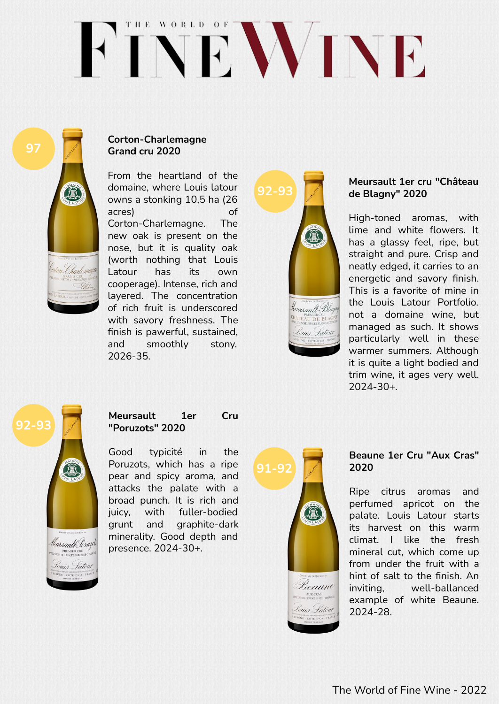# THE WORLD OF FINEWINE



## **Corton-Charlemagne Grand cru 2020**

From the heartland of the domaine, where Louis latour owns a stonking 10,5 ha (26 acres) of Corton-Charlemagne. The new oak is present on the nose, but it is quality oak (worth nothing that Louis Latour has its own cooperage). Intense, rich and layered. The concentration of rich fruit is underscored with savory freshness. The finish is pawerful, sustained, and smoothly stony. 2026-35.



### **Meursault 1er cru "Château de Blagny" 2020**

High-toned aromas, with lime and white flowers. It has a glassy feel, ripe, but straight and pure. Crisp and neatly edged, it carries to an energetic and savory finish. This is a favorite of mine in the Louis Latour Portfolio. not a domaine wine, but managed as such. It shows particularly well in these warmer summers. Although it is quite a light bodied and trim wine, it ages very well. 2024-30+.



## **Meursault 1er Cru "Poruzots" 2020**

Good typicité in the Poruzots, which has a ripe pear and spicy aroma, and attacks the palate with a broad punch. It is rich and juicy, with fuller-bodied grunt and graphite-dark minerality. Good depth and presence. 2024-30+.



#### **Beaune 1er Cru "Aux Cras" 2020**

Ripe citrus aromas and perfumed apricot on the palate. Louis Latour starts its harvest on this warm climat. I like the fresh mineral cut, which come up from under the fruit with a hint of salt to the finish. An inviting, well-ballanced example of white Beaune. 2024-28.